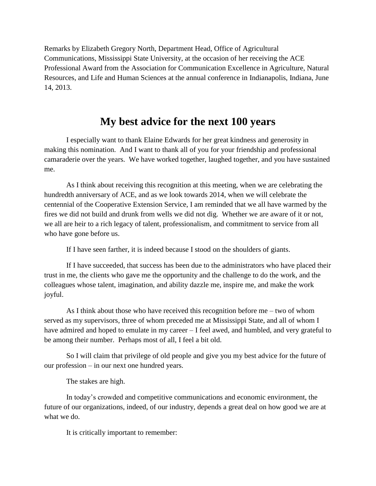Remarks by Elizabeth Gregory North, Department Head, Office of Agricultural Communications, Mississippi State University, at the occasion of her receiving the ACE Professional Award from the Association for Communication Excellence in Agriculture, Natural Resources, and Life and Human Sciences at the annual conference in Indianapolis, Indiana, June 14, 2013.

## **My best advice for the next 100 years**

I especially want to thank Elaine Edwards for her great kindness and generosity in making this nomination. And I want to thank all of you for your friendship and professional camaraderie over the years. We have worked together, laughed together, and you have sustained me.

As I think about receiving this recognition at this meeting, when we are celebrating the hundredth anniversary of ACE, and as we look towards 2014, when we will celebrate the centennial of the Cooperative Extension Service, I am reminded that we all have warmed by the fires we did not build and drunk from wells we did not dig. Whether we are aware of it or not, we all are heir to a rich legacy of talent, professionalism, and commitment to service from all who have gone before us.

If I have seen farther, it is indeed because I stood on the shoulders of giants.

If I have succeeded, that success has been due to the administrators who have placed their trust in me, the clients who gave me the opportunity and the challenge to do the work, and the colleagues whose talent, imagination, and ability dazzle me, inspire me, and make the work joyful.

As I think about those who have received this recognition before me – two of whom served as my supervisors, three of whom preceded me at Mississippi State, and all of whom I have admired and hoped to emulate in my career – I feel awed, and humbled, and very grateful to be among their number. Perhaps most of all, I feel a bit old.

So I will claim that privilege of old people and give you my best advice for the future of our profession – in our next one hundred years.

The stakes are high.

In today's crowded and competitive communications and economic environment, the future of our organizations, indeed, of our industry, depends a great deal on how good we are at what we do.

It is critically important to remember: